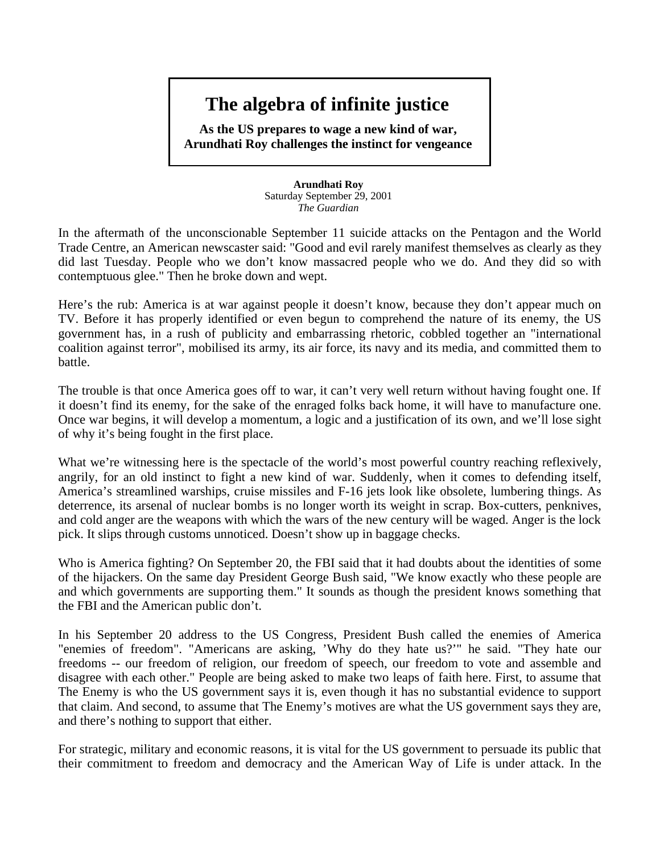## **The algebra of infinite justice**

**As the US prepares to wage a new kind of war, Arundhati Roy challenges the instinct for vengeance** 

> **Arundhati Roy**  Saturday September 29, 2001 *The Guardian*

In the aftermath of the unconscionable September 11 suicide attacks on the Pentagon and the World Trade Centre, an American newscaster said: "Good and evil rarely manifest themselves as clearly as they did last Tuesday. People who we don't know massacred people who we do. And they did so with contemptuous glee." Then he broke down and wept.

Here's the rub: America is at war against people it doesn't know, because they don't appear much on TV. Before it has properly identified or even begun to comprehend the nature of its enemy, the US government has, in a rush of publicity and embarrassing rhetoric, cobbled together an "international coalition against terror", mobilised its army, its air force, its navy and its media, and committed them to battle.

The trouble is that once America goes off to war, it can't very well return without having fought one. If it doesn't find its enemy, for the sake of the enraged folks back home, it will have to manufacture one. Once war begins, it will develop a momentum, a logic and a justification of its own, and we'll lose sight of why it's being fought in the first place.

What we're witnessing here is the spectacle of the world's most powerful country reaching reflexively, angrily, for an old instinct to fight a new kind of war. Suddenly, when it comes to defending itself, America's streamlined warships, cruise missiles and F-16 jets look like obsolete, lumbering things. As deterrence, its arsenal of nuclear bombs is no longer worth its weight in scrap. Box-cutters, penknives, and cold anger are the weapons with which the wars of the new century will be waged. Anger is the lock pick. It slips through customs unnoticed. Doesn't show up in baggage checks.

Who is America fighting? On September 20, the FBI said that it had doubts about the identities of some of the hijackers. On the same day President George Bush said, "We know exactly who these people are and which governments are supporting them." It sounds as though the president knows something that the FBI and the American public don't.

In his September 20 address to the US Congress, President Bush called the enemies of America "enemies of freedom". "Americans are asking, 'Why do they hate us?'" he said. "They hate our freedoms -- our freedom of religion, our freedom of speech, our freedom to vote and assemble and disagree with each other." People are being asked to make two leaps of faith here. First, to assume that The Enemy is who the US government says it is, even though it has no substantial evidence to support that claim. And second, to assume that The Enemy's motives are what the US government says they are, and there's nothing to support that either.

For strategic, military and economic reasons, it is vital for the US government to persuade its public that their commitment to freedom and democracy and the American Way of Life is under attack. In the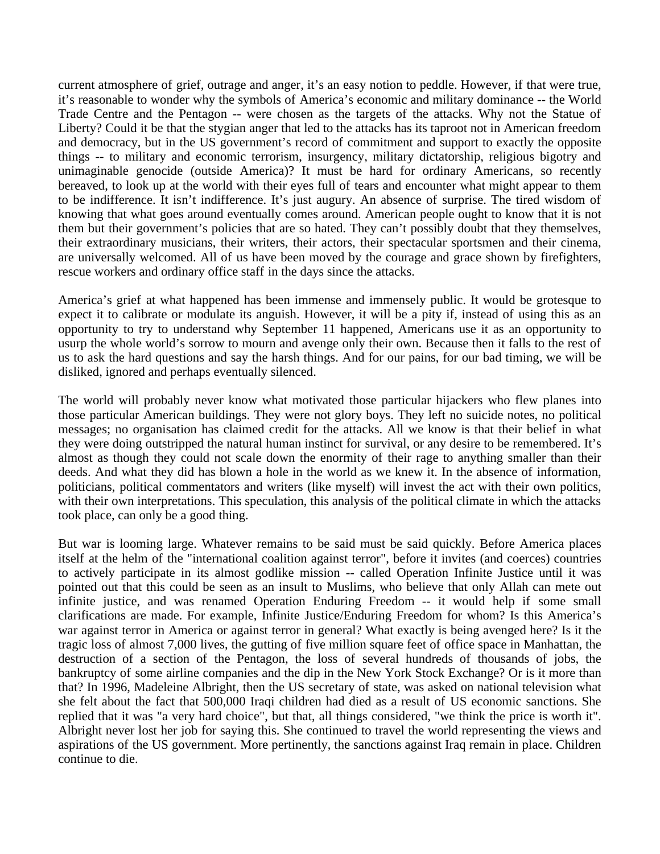current atmosphere of grief, outrage and anger, it's an easy notion to peddle. However, if that were true, it's reasonable to wonder why the symbols of America's economic and military dominance -- the World Trade Centre and the Pentagon -- were chosen as the targets of the attacks. Why not the Statue of Liberty? Could it be that the stygian anger that led to the attacks has its taproot not in American freedom and democracy, but in the US government's record of commitment and support to exactly the opposite things -- to military and economic terrorism, insurgency, military dictatorship, religious bigotry and unimaginable genocide (outside America)? It must be hard for ordinary Americans, so recently bereaved, to look up at the world with their eyes full of tears and encounter what might appear to them to be indifference. It isn't indifference. It's just augury. An absence of surprise. The tired wisdom of knowing that what goes around eventually comes around. American people ought to know that it is not them but their government's policies that are so hated. They can't possibly doubt that they themselves, their extraordinary musicians, their writers, their actors, their spectacular sportsmen and their cinema, are universally welcomed. All of us have been moved by the courage and grace shown by firefighters, rescue workers and ordinary office staff in the days since the attacks.

America's grief at what happened has been immense and immensely public. It would be grotesque to expect it to calibrate or modulate its anguish. However, it will be a pity if, instead of using this as an opportunity to try to understand why September 11 happened, Americans use it as an opportunity to usurp the whole world's sorrow to mourn and avenge only their own. Because then it falls to the rest of us to ask the hard questions and say the harsh things. And for our pains, for our bad timing, we will be disliked, ignored and perhaps eventually silenced.

The world will probably never know what motivated those particular hijackers who flew planes into those particular American buildings. They were not glory boys. They left no suicide notes, no political messages; no organisation has claimed credit for the attacks. All we know is that their belief in what they were doing outstripped the natural human instinct for survival, or any desire to be remembered. It's almost as though they could not scale down the enormity of their rage to anything smaller than their deeds. And what they did has blown a hole in the world as we knew it. In the absence of information, politicians, political commentators and writers (like myself) will invest the act with their own politics, with their own interpretations. This speculation, this analysis of the political climate in which the attacks took place, can only be a good thing.

But war is looming large. Whatever remains to be said must be said quickly. Before America places itself at the helm of the "international coalition against terror", before it invites (and coerces) countries to actively participate in its almost godlike mission -- called Operation Infinite Justice until it was pointed out that this could be seen as an insult to Muslims, who believe that only Allah can mete out infinite justice, and was renamed Operation Enduring Freedom -- it would help if some small clarifications are made. For example, Infinite Justice/Enduring Freedom for whom? Is this America's war against terror in America or against terror in general? What exactly is being avenged here? Is it the tragic loss of almost 7,000 lives, the gutting of five million square feet of office space in Manhattan, the destruction of a section of the Pentagon, the loss of several hundreds of thousands of jobs, the bankruptcy of some airline companies and the dip in the New York Stock Exchange? Or is it more than that? In 1996, Madeleine Albright, then the US secretary of state, was asked on national television what she felt about the fact that 500,000 Iraqi children had died as a result of US economic sanctions. She replied that it was "a very hard choice", but that, all things considered, "we think the price is worth it". Albright never lost her job for saying this. She continued to travel the world representing the views and aspirations of the US government. More pertinently, the sanctions against Iraq remain in place. Children continue to die.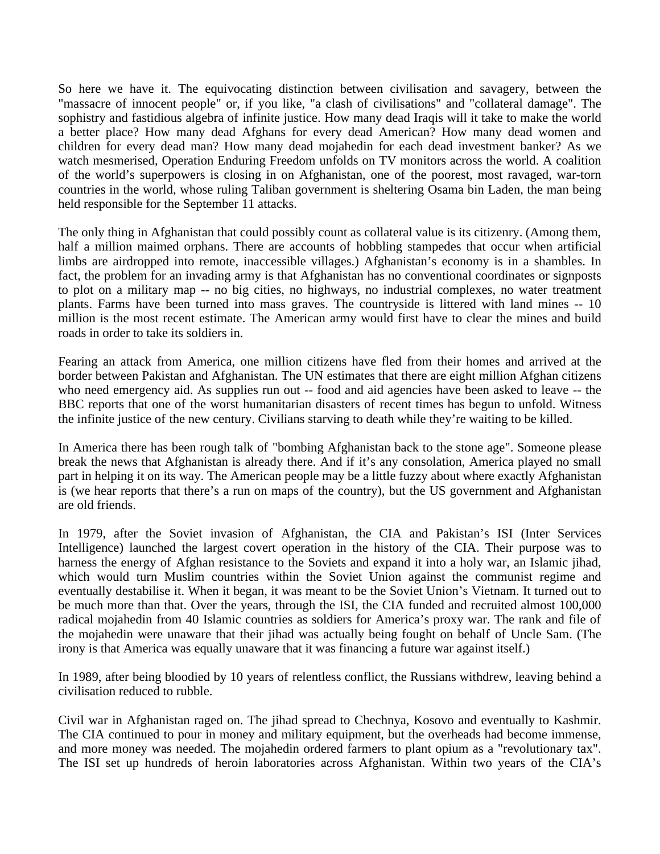So here we have it. The equivocating distinction between civilisation and savagery, between the "massacre of innocent people" or, if you like, "a clash of civilisations" and "collateral damage". The sophistry and fastidious algebra of infinite justice. How many dead Iraqis will it take to make the world a better place? How many dead Afghans for every dead American? How many dead women and children for every dead man? How many dead mojahedin for each dead investment banker? As we watch mesmerised, Operation Enduring Freedom unfolds on TV monitors across the world. A coalition of the world's superpowers is closing in on Afghanistan, one of the poorest, most ravaged, war-torn countries in the world, whose ruling Taliban government is sheltering Osama bin Laden, the man being held responsible for the September 11 attacks.

The only thing in Afghanistan that could possibly count as collateral value is its citizenry. (Among them, half a million maimed orphans. There are accounts of hobbling stampedes that occur when artificial limbs are airdropped into remote, inaccessible villages.) Afghanistan's economy is in a shambles. In fact, the problem for an invading army is that Afghanistan has no conventional coordinates or signposts to plot on a military map -- no big cities, no highways, no industrial complexes, no water treatment plants. Farms have been turned into mass graves. The countryside is littered with land mines -- 10 million is the most recent estimate. The American army would first have to clear the mines and build roads in order to take its soldiers in.

Fearing an attack from America, one million citizens have fled from their homes and arrived at the border between Pakistan and Afghanistan. The UN estimates that there are eight million Afghan citizens who need emergency aid. As supplies run out -- food and aid agencies have been asked to leave -- the BBC reports that one of the worst humanitarian disasters of recent times has begun to unfold. Witness the infinite justice of the new century. Civilians starving to death while they're waiting to be killed.

In America there has been rough talk of "bombing Afghanistan back to the stone age". Someone please break the news that Afghanistan is already there. And if it's any consolation, America played no small part in helping it on its way. The American people may be a little fuzzy about where exactly Afghanistan is (we hear reports that there's a run on maps of the country), but the US government and Afghanistan are old friends.

In 1979, after the Soviet invasion of Afghanistan, the CIA and Pakistan's ISI (Inter Services Intelligence) launched the largest covert operation in the history of the CIA. Their purpose was to harness the energy of Afghan resistance to the Soviets and expand it into a holy war, an Islamic jihad, which would turn Muslim countries within the Soviet Union against the communist regime and eventually destabilise it. When it began, it was meant to be the Soviet Union's Vietnam. It turned out to be much more than that. Over the years, through the ISI, the CIA funded and recruited almost 100,000 radical mojahedin from 40 Islamic countries as soldiers for America's proxy war. The rank and file of the mojahedin were unaware that their jihad was actually being fought on behalf of Uncle Sam. (The irony is that America was equally unaware that it was financing a future war against itself.)

In 1989, after being bloodied by 10 years of relentless conflict, the Russians withdrew, leaving behind a civilisation reduced to rubble.

Civil war in Afghanistan raged on. The jihad spread to Chechnya, Kosovo and eventually to Kashmir. The CIA continued to pour in money and military equipment, but the overheads had become immense, and more money was needed. The mojahedin ordered farmers to plant opium as a "revolutionary tax". The ISI set up hundreds of heroin laboratories across Afghanistan. Within two years of the CIA's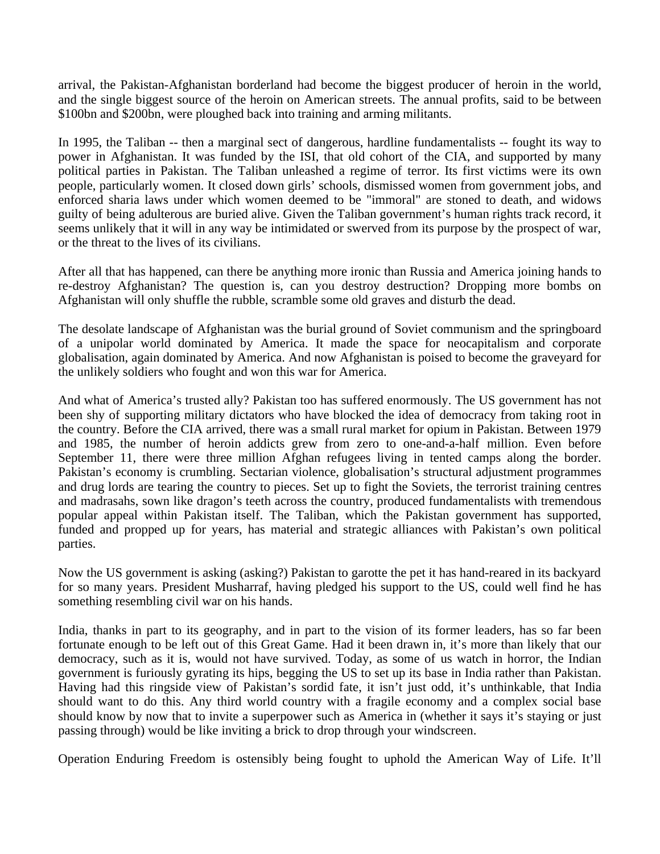arrival, the Pakistan-Afghanistan borderland had become the biggest producer of heroin in the world, and the single biggest source of the heroin on American streets. The annual profits, said to be between \$100bn and \$200bn, were ploughed back into training and arming militants.

In 1995, the Taliban -- then a marginal sect of dangerous, hardline fundamentalists -- fought its way to power in Afghanistan. It was funded by the ISI, that old cohort of the CIA, and supported by many political parties in Pakistan. The Taliban unleashed a regime of terror. Its first victims were its own people, particularly women. It closed down girls' schools, dismissed women from government jobs, and enforced sharia laws under which women deemed to be "immoral" are stoned to death, and widows guilty of being adulterous are buried alive. Given the Taliban government's human rights track record, it seems unlikely that it will in any way be intimidated or swerved from its purpose by the prospect of war, or the threat to the lives of its civilians.

After all that has happened, can there be anything more ironic than Russia and America joining hands to re-destroy Afghanistan? The question is, can you destroy destruction? Dropping more bombs on Afghanistan will only shuffle the rubble, scramble some old graves and disturb the dead.

The desolate landscape of Afghanistan was the burial ground of Soviet communism and the springboard of a unipolar world dominated by America. It made the space for neocapitalism and corporate globalisation, again dominated by America. And now Afghanistan is poised to become the graveyard for the unlikely soldiers who fought and won this war for America.

And what of America's trusted ally? Pakistan too has suffered enormously. The US government has not been shy of supporting military dictators who have blocked the idea of democracy from taking root in the country. Before the CIA arrived, there was a small rural market for opium in Pakistan. Between 1979 and 1985, the number of heroin addicts grew from zero to one-and-a-half million. Even before September 11, there were three million Afghan refugees living in tented camps along the border. Pakistan's economy is crumbling. Sectarian violence, globalisation's structural adjustment programmes and drug lords are tearing the country to pieces. Set up to fight the Soviets, the terrorist training centres and madrasahs, sown like dragon's teeth across the country, produced fundamentalists with tremendous popular appeal within Pakistan itself. The Taliban, which the Pakistan government has supported, funded and propped up for years, has material and strategic alliances with Pakistan's own political parties.

Now the US government is asking (asking?) Pakistan to garotte the pet it has hand-reared in its backyard for so many years. President Musharraf, having pledged his support to the US, could well find he has something resembling civil war on his hands.

India, thanks in part to its geography, and in part to the vision of its former leaders, has so far been fortunate enough to be left out of this Great Game. Had it been drawn in, it's more than likely that our democracy, such as it is, would not have survived. Today, as some of us watch in horror, the Indian government is furiously gyrating its hips, begging the US to set up its base in India rather than Pakistan. Having had this ringside view of Pakistan's sordid fate, it isn't just odd, it's unthinkable, that India should want to do this. Any third world country with a fragile economy and a complex social base should know by now that to invite a superpower such as America in (whether it says it's staying or just passing through) would be like inviting a brick to drop through your windscreen.

Operation Enduring Freedom is ostensibly being fought to uphold the American Way of Life. It'll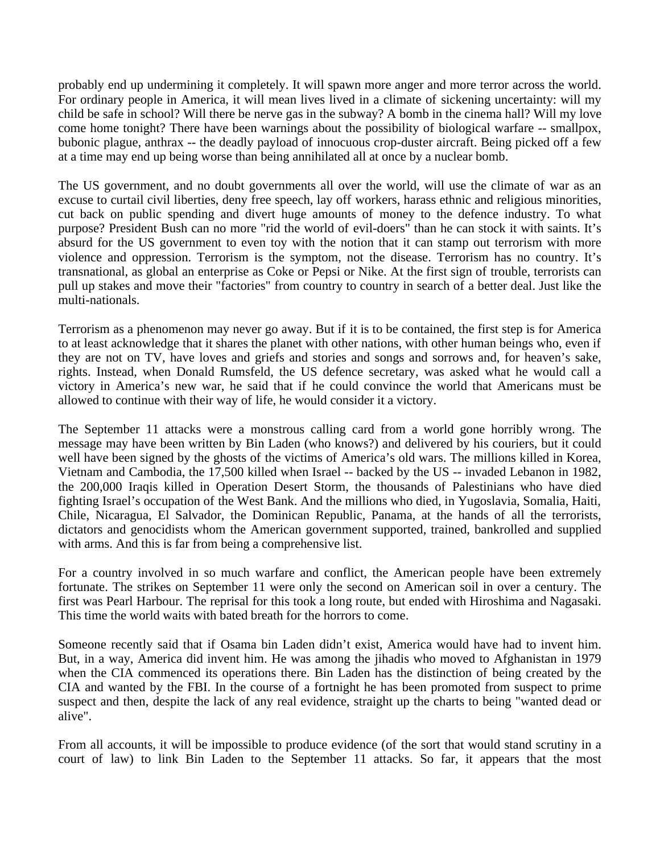probably end up undermining it completely. It will spawn more anger and more terror across the world. For ordinary people in America, it will mean lives lived in a climate of sickening uncertainty: will my child be safe in school? Will there be nerve gas in the subway? A bomb in the cinema hall? Will my love come home tonight? There have been warnings about the possibility of biological warfare -- smallpox, bubonic plague, anthrax -- the deadly payload of innocuous crop-duster aircraft. Being picked off a few at a time may end up being worse than being annihilated all at once by a nuclear bomb.

The US government, and no doubt governments all over the world, will use the climate of war as an excuse to curtail civil liberties, deny free speech, lay off workers, harass ethnic and religious minorities, cut back on public spending and divert huge amounts of money to the defence industry. To what purpose? President Bush can no more "rid the world of evil-doers" than he can stock it with saints. It's absurd for the US government to even toy with the notion that it can stamp out terrorism with more violence and oppression. Terrorism is the symptom, not the disease. Terrorism has no country. It's transnational, as global an enterprise as Coke or Pepsi or Nike. At the first sign of trouble, terrorists can pull up stakes and move their "factories" from country to country in search of a better deal. Just like the multi-nationals.

Terrorism as a phenomenon may never go away. But if it is to be contained, the first step is for America to at least acknowledge that it shares the planet with other nations, with other human beings who, even if they are not on TV, have loves and griefs and stories and songs and sorrows and, for heaven's sake, rights. Instead, when Donald Rumsfeld, the US defence secretary, was asked what he would call a victory in America's new war, he said that if he could convince the world that Americans must be allowed to continue with their way of life, he would consider it a victory.

The September 11 attacks were a monstrous calling card from a world gone horribly wrong. The message may have been written by Bin Laden (who knows?) and delivered by his couriers, but it could well have been signed by the ghosts of the victims of America's old wars. The millions killed in Korea, Vietnam and Cambodia, the 17,500 killed when Israel -- backed by the US -- invaded Lebanon in 1982, the 200,000 Iraqis killed in Operation Desert Storm, the thousands of Palestinians who have died fighting Israel's occupation of the West Bank. And the millions who died, in Yugoslavia, Somalia, Haiti, Chile, Nicaragua, El Salvador, the Dominican Republic, Panama, at the hands of all the terrorists, dictators and genocidists whom the American government supported, trained, bankrolled and supplied with arms. And this is far from being a comprehensive list.

For a country involved in so much warfare and conflict, the American people have been extremely fortunate. The strikes on September 11 were only the second on American soil in over a century. The first was Pearl Harbour. The reprisal for this took a long route, but ended with Hiroshima and Nagasaki. This time the world waits with bated breath for the horrors to come.

Someone recently said that if Osama bin Laden didn't exist, America would have had to invent him. But, in a way, America did invent him. He was among the jihadis who moved to Afghanistan in 1979 when the CIA commenced its operations there. Bin Laden has the distinction of being created by the CIA and wanted by the FBI. In the course of a fortnight he has been promoted from suspect to prime suspect and then, despite the lack of any real evidence, straight up the charts to being "wanted dead or alive".

From all accounts, it will be impossible to produce evidence (of the sort that would stand scrutiny in a court of law) to link Bin Laden to the September 11 attacks. So far, it appears that the most